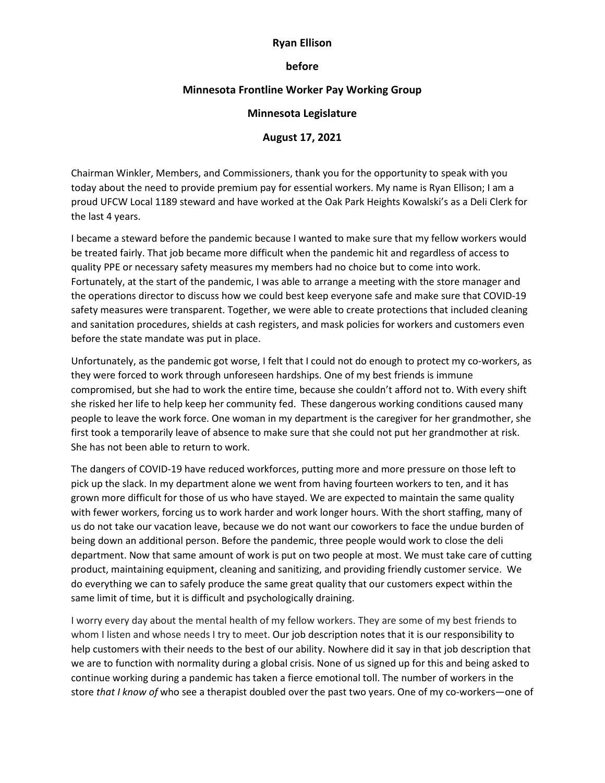## **Ryan Ellison**

#### **before**

# **Minnesota Frontline Worker Pay Working Group**

## **Minnesota Legislature**

## **August 17, 2021**

Chairman Winkler, Members, and Commissioners, thank you for the opportunity to speak with you today about the need to provide premium pay for essential workers. My name is Ryan Ellison; I am a proud UFCW Local 1189 steward and have worked at the Oak Park Heights Kowalski's as a Deli Clerk for the last 4 years.

I became a steward before the pandemic because I wanted to make sure that my fellow workers would be treated fairly. That job became more difficult when the pandemic hit and regardless of access to quality PPE or necessary safety measures my members had no choice but to come into work. Fortunately, at the start of the pandemic, I was able to arrange a meeting with the store manager and the operations director to discuss how we could best keep everyone safe and make sure that COVID-19 safety measures were transparent. Together, we were able to create protections that included cleaning and sanitation procedures, shields at cash registers, and mask policies for workers and customers even before the state mandate was put in place.

Unfortunately, as the pandemic got worse, I felt that I could not do enough to protect my co-workers, as they were forced to work through unforeseen hardships. One of my best friends is immune compromised, but she had to work the entire time, because she couldn't afford not to. With every shift she risked her life to help keep her community fed. These dangerous working conditions caused many people to leave the work force. One woman in my department is the caregiver for her grandmother, she first took a temporarily leave of absence to make sure that she could not put her grandmother at risk. She has not been able to return to work.

The dangers of COVID-19 have reduced workforces, putting more and more pressure on those left to pick up the slack. In my department alone we went from having fourteen workers to ten, and it has grown more difficult for those of us who have stayed. We are expected to maintain the same quality with fewer workers, forcing us to work harder and work longer hours. With the short staffing, many of us do not take our vacation leave, because we do not want our coworkers to face the undue burden of being down an additional person. Before the pandemic, three people would work to close the deli department. Now that same amount of work is put on two people at most. We must take care of cutting product, maintaining equipment, cleaning and sanitizing, and providing friendly customer service. We do everything we can to safely produce the same great quality that our customers expect within the same limit of time, but it is difficult and psychologically draining.

I worry every day about the mental health of my fellow workers. They are some of my best friends to whom I listen and whose needs I try to meet. Our job description notes that it is our responsibility to help customers with their needs to the best of our ability. Nowhere did it say in that job description that we are to function with normality during a global crisis. None of us signed up for this and being asked to continue working during a pandemic has taken a fierce emotional toll. The number of workers in the store *that I know of* who see a therapist doubled over the past two years. One of my co-workers—one of